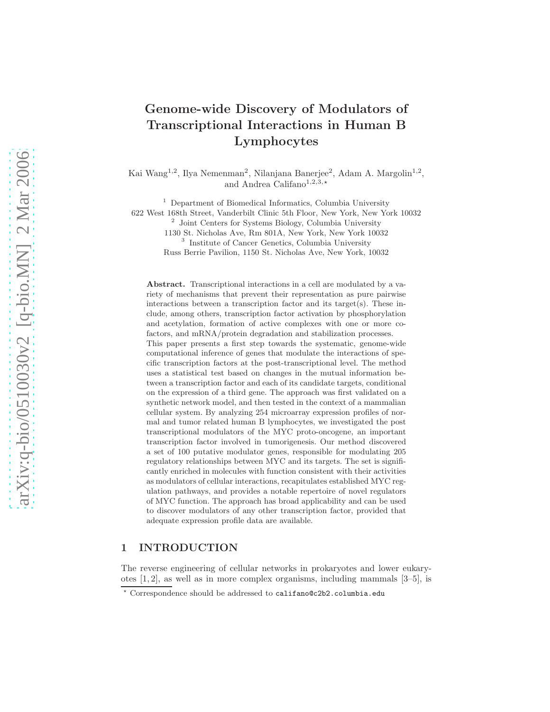# Genome-wide Discovery of Modulators of Transcriptional Interactions in Human B Lymphocytes

Kai Wang<sup>1,2</sup>, Ilya Nemenman<sup>2</sup>, Nilanjana Banerjee<sup>2</sup>, Adam A. Margolin<sup>1,2</sup>, and Andrea Califano<sup>1,2,3,\*</sup>

<sup>1</sup> Department of Biomedical Informatics, Columbia University 622 West 168th Street, Vanderbilt Clinic 5th Floor, New York, New York 10032 2 Joint Centers for Systems Biology, Columbia University 1130 St. Nicholas Ave, Rm 801A, New York, New York 10032

3 Institute of Cancer Genetics, Columbia University Russ Berrie Pavilion, 1150 St. Nicholas Ave, New York, 10032

Abstract. Transcriptional interactions in a cell are modulated by a variety of mechanisms that prevent their representation as pure pairwise interactions between a transcription factor and its target(s). These include, among others, transcription factor activation by phosphorylation and acetylation, formation of active complexes with one or more cofactors, and mRNA/protein degradation and stabilization processes. This paper presents a first step towards the systematic, genome-wide computational inference of genes that modulate the interactions of specific transcription factors at the post-transcriptional level. The method uses a statistical test based on changes in the mutual information between a transcription factor and each of its candidate targets, conditional on the expression of a third gene. The approach was first validated on a synthetic network model, and then tested in the context of a mammalian cellular system. By analyzing 254 microarray expression profiles of normal and tumor related human B lymphocytes, we investigated the post transcriptional modulators of the MYC proto-oncogene, an important transcription factor involved in tumorigenesis. Our method discovered a set of 100 putative modulator genes, responsible for modulating 205 regulatory relationships between MYC and its targets. The set is significantly enriched in molecules with function consistent with their activities as modulators of cellular interactions, recapitulates established MYC regulation pathways, and provides a notable repertoire of novel regulators of MYC function. The approach has broad applicability and can be used to discover modulators of any other transcription factor, provided that adequate expression profile data are available.

## 1 INTRODUCTION

The reverse engineering of cellular networks in prokaryotes and lower eukaryotes [1, 2], as well as in more complex organisms, including mammals [3–5], is

<sup>⋆</sup> Correspondence should be addressed to califano@c2b2.columbia.edu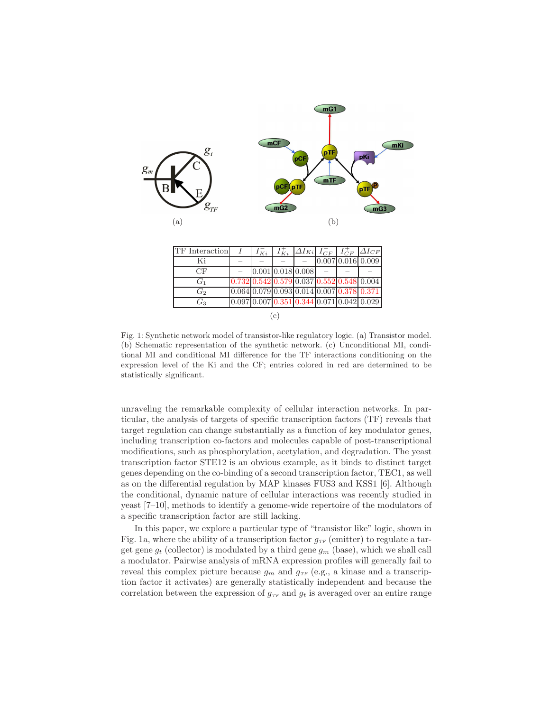

| --------------- | $-Ki$ | $-Ki$      |                                                        | $ \cdot$ $\Lambda$ $\iota$ $ $ $ \iota$ $\iota$ $ $ $ \iota$ $\iota$ $ $ $ \iota$ $\iota$ $ $ $\iota$ $ $ | $-1$ |
|-----------------|-------|------------|--------------------------------------------------------|-----------------------------------------------------------------------------------------------------------|------|
| Кi              |       |            |                                                        | 0.007 0.016 0.009                                                                                         |      |
| CF              |       |            | $0.001$ $0.018$ $0.008$                                |                                                                                                           |      |
| $G_1$           |       |            | $[0.732]0.542]0.579]0.037$ $[0.552]0.548]0.004$        |                                                                                                           |      |
| $G_2$           |       |            | $[0.064] 0.079] 0.093] 0.014] 0.007$ $[0.378] 0.371$   |                                                                                                           |      |
| $G_3$           |       |            | $[0.097] 0.007$ $[0.351] 0.344$ $[0.071] 0.042] 0.029$ |                                                                                                           |      |
|                 |       | $\epsilon$ |                                                        |                                                                                                           |      |

Fig. 1: Synthetic network model of transistor-like regulatory logic. (a) Transistor model. (b) Schematic representation of the synthetic network. (c) Unconditional MI, conditional MI and conditional MI difference for the TF interactions conditioning on the expression level of the Ki and the CF; entries colored in red are determined to be statistically significant.

unraveling the remarkable complexity of cellular interaction networks. In particular, the analysis of targets of specific transcription factors (TF) reveals that target regulation can change substantially as a function of key modulator genes, including transcription co-factors and molecules capable of post-transcriptional modifications, such as phosphorylation, acetylation, and degradation. The yeast transcription factor STE12 is an obvious example, as it binds to distinct target genes depending on the co-binding of a second transcription factor, TEC1, as well as on the differential regulation by MAP kinases FUS3 and KSS1 [6]. Although the conditional, dynamic nature of cellular interactions was recently studied in yeast [7–10], methods to identify a genome-wide repertoire of the modulators of a specific transcription factor are still lacking.

In this paper, we explore a particular type of "transistor like" logic, shown in Fig. 1a, where the ability of a transcription factor  $g_{TF}$  (emitter) to regulate a target gene  $g_t$  (collector) is modulated by a third gene  $g_m$  (base), which we shall call a modulator. Pairwise analysis of mRNA expression profiles will generally fail to reveal this complex picture because  $g_m$  and  $g_{TF}$  (e.g., a kinase and a transcription factor it activates) are generally statistically independent and because the correlation between the expression of  $g_{TF}$  and  $g_t$  is averaged over an entire range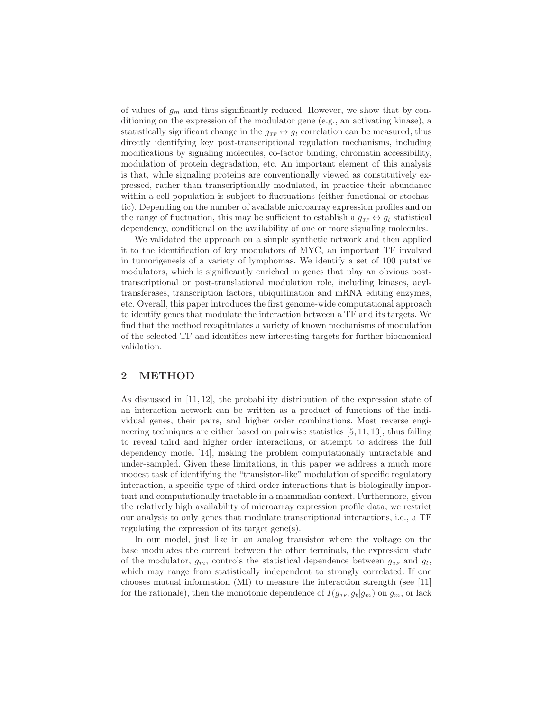of values of  $g_m$  and thus significantly reduced. However, we show that by conditioning on the expression of the modulator gene (e.g., an activating kinase), a statistically significant change in the  $g_{TF} \leftrightarrow g_t$  correlation can be measured, thus directly identifying key post-transcriptional regulation mechanisms, including modifications by signaling molecules, co-factor binding, chromatin accessibility, modulation of protein degradation, etc. An important element of this analysis is that, while signaling proteins are conventionally viewed as constitutively expressed, rather than transcriptionally modulated, in practice their abundance within a cell population is subject to fluctuations (either functional or stochastic). Depending on the number of available microarray expression profiles and on the range of fluctuation, this may be sufficient to establish a  $g_{TF} \leftrightarrow g_t$  statistical dependency, conditional on the availability of one or more signaling molecules.

We validated the approach on a simple synthetic network and then applied it to the identification of key modulators of MYC, an important TF involved in tumorigenesis of a variety of lymphomas. We identify a set of 100 putative modulators, which is significantly enriched in genes that play an obvious posttranscriptional or post-translational modulation role, including kinases, acyltransferases, transcription factors, ubiquitination and mRNA editing enzymes, etc. Overall, this paper introduces the first genome-wide computational approach to identify genes that modulate the interaction between a TF and its targets. We find that the method recapitulates a variety of known mechanisms of modulation of the selected TF and identifies new interesting targets for further biochemical validation.

## 2 METHOD

As discussed in [11, 12], the probability distribution of the expression state of an interaction network can be written as a product of functions of the individual genes, their pairs, and higher order combinations. Most reverse engineering techniques are either based on pairwise statistics [5, 11, 13], thus failing to reveal third and higher order interactions, or attempt to address the full dependency model [14], making the problem computationally untractable and under-sampled. Given these limitations, in this paper we address a much more modest task of identifying the "transistor-like" modulation of specific regulatory interaction, a specific type of third order interactions that is biologically important and computationally tractable in a mammalian context. Furthermore, given the relatively high availability of microarray expression profile data, we restrict our analysis to only genes that modulate transcriptional interactions, i.e., a TF regulating the expression of its target gene(s).

In our model, just like in an analog transistor where the voltage on the base modulates the current between the other terminals, the expression state of the modulator,  $g_m$ , controls the statistical dependence between  $g_{TF}$  and  $g_t$ , which may range from statistically independent to strongly correlated. If one chooses mutual information (MI) to measure the interaction strength (see [11] for the rationale), then the monotonic dependence of  $I(g_{TF}, g_t|g_m)$  on  $g_m$ , or lack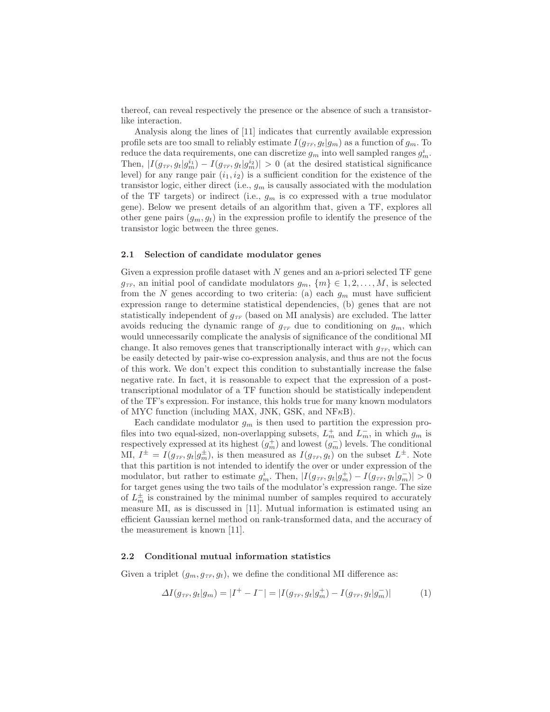thereof, can reveal respectively the presence or the absence of such a transistorlike interaction.

Analysis along the lines of [11] indicates that currently available expression profile sets are too small to reliably estimate  $I(g_{TF}, g_t|g_m)$  as a function of  $g_m$ . To reduce the data requirements, one can discretize  $g_m$  into well sampled ranges  $g_m^i$ . Then,  $|I(g_{TF}, g_t|g_m^{i_1}) - I(g_{TF}, g_t|g_m^{i_2})| > 0$  (at the desired statistical significance level) for any range pair  $(i_1, i_2)$  is a sufficient condition for the existence of the transistor logic, either direct (i.e.,  $g_m$  is causally associated with the modulation of the TF targets) or indirect (i.e.,  $g_m$  is co expressed with a true modulator gene). Below we present details of an algorithm that, given a TF, explores all other gene pairs  $(g_m, g_t)$  in the expression profile to identify the presence of the transistor logic between the three genes.

### 2.1 Selection of candidate modulator genes

Given a expression profile dataset with  $N$  genes and an a-priori selected TF gene  $g_{TF}$ , an initial pool of candidate modulators  $g_m$ ,  $\{m\} \in 1, 2, \ldots, M$ , is selected from the N genes according to two criteria: (a) each  $g_m$  must have sufficient expression range to determine statistical dependencies, (b) genes that are not statistically independent of  $g_{TF}$  (based on MI analysis) are excluded. The latter avoids reducing the dynamic range of  $g_{TF}$  due to conditioning on  $g_m$ , which would unnecessarily complicate the analysis of significance of the conditional MI change. It also removes genes that transcriptionally interact with  $g_{TF}$ , which can be easily detected by pair-wise co-expression analysis, and thus are not the focus of this work. We don't expect this condition to substantially increase the false negative rate. In fact, it is reasonable to expect that the expression of a posttranscriptional modulator of a TF function should be statistically independent of the TF's expression. For instance, this holds true for many known modulators of MYC function (including MAX, JNK, GSK, and  $N\llbracket \text{F}\kappa \text{B} \rrbracket$ ).

Each candidate modulator  $g_m$  is then used to partition the expression profiles into two equal-sized, non-overlapping subsets,  $L_m^+$  and  $L_m^-$ , in which  $g_m$  is respectively expressed at its highest  $(g_m^+)$  and lowest  $(g_m^-)$  levels. The conditional MI,  $I^{\pm} = I(g_{TF}, g_t | g_m^{\pm}),$  is then measured as  $I(g_{TF}, g_t)$  on the subset  $L^{\pm}$ . Note that this partition is not intended to identify the over or under expression of the modulator, but rather to estimate  $g_m^i$ . Then,  $|I(g_{TF}, g_t|g_m^+) - I(g_{TF}, g_t|g_m^-)| > 0$ for target genes using the two tails of the modulator's expression range. The size of  $L_m^{\pm}$  is constrained by the minimal number of samples required to accurately measure MI, as is discussed in [11]. Mutual information is estimated using an efficient Gaussian kernel method on rank-transformed data, and the accuracy of the measurement is known [11].

#### 2.2 Conditional mutual information statistics

Given a triplet  $(g_m, g_{TF}, g_t)$ , we define the conditional MI difference as:

$$
\Delta I(g_{\scriptscriptstyle TF}, g_t | g_m) = |I^+ - I^-| = |I(g_{\scriptscriptstyle TF}, g_t | g_m^+) - I(g_{\scriptscriptstyle TF}, g_t | g_m^-)| \tag{1}
$$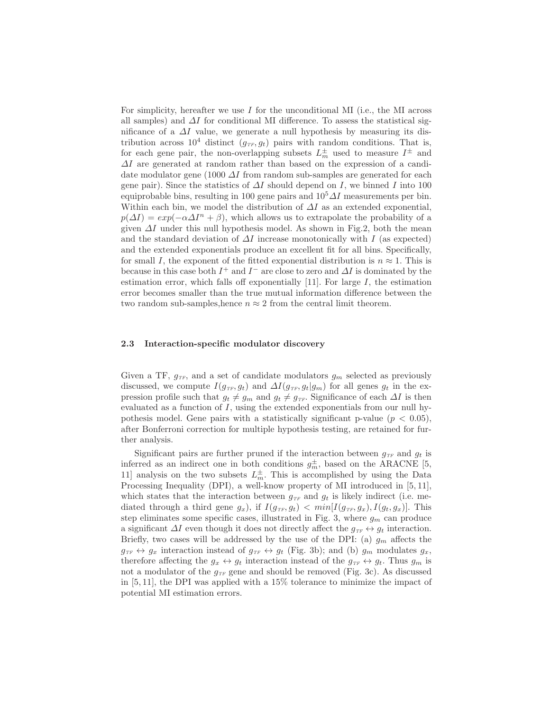For simplicity, hereafter we use  $I$  for the unconditional MI (i.e., the MI across all samples) and  $\Delta I$  for conditional MI difference. To assess the statistical significance of a  $\Delta I$  value, we generate a null hypothesis by measuring its distribution across  $10^4$  distinct  $(g_{TF}, g_t)$  pairs with random conditions. That is, for each gene pair, the non-overlapping subsets  $L_m^{\pm}$  used to measure  $I^{\pm}$  and  $\Delta I$  are generated at random rather than based on the expression of a candidate modulator gene (1000  $\Delta I$  from random sub-samples are generated for each gene pair). Since the statistics of  $\Delta I$  should depend on I, we binned I into 100 equiprobable bins, resulting in 100 gene pairs and  $10<sup>5</sup>ΔI$  measurements per bin. Within each bin, we model the distribution of  $\Delta I$  as an extended exponential,  $p(\Delta I) = exp(-\alpha \Delta I^n + \beta)$ , which allows us to extrapolate the probability of a given  $\Delta I$  under this null hypothesis model. As shown in Fig.2, both the mean and the standard deviation of  $\Delta I$  increase monotonically with I (as expected) and the extended exponentials produce an excellent fit for all bins. Specifically, for small I, the exponent of the fitted exponential distribution is  $n \approx 1$ . This is because in this case both  $I^+$  and  $I^-$  are close to zero and  $\Delta I$  is dominated by the estimation error, which falls off exponentially  $[11]$ . For large I, the estimation error becomes smaller than the true mutual information difference between the two random sub-samples, hence  $n \approx 2$  from the central limit theorem.

#### 2.3 Interaction-specific modulator discovery

Given a TF,  $g_{TF}$ , and a set of candidate modulators  $g_m$  selected as previously discussed, we compute  $I(g_{TF}, g_t)$  and  $\Delta I(g_{TF}, g_t|g_m)$  for all genes  $g_t$  in the expression profile such that  $g_t \neq g_m$  and  $g_t \neq g_{TF}$ . Significance of each  $\Delta I$  is then evaluated as a function of  $I$ , using the extended exponentials from our null hypothesis model. Gene pairs with a statistically significant p-value  $(p < 0.05)$ , after Bonferroni correction for multiple hypothesis testing, are retained for further analysis.

Significant pairs are further pruned if the interaction between  $g_{TF}$  and  $g_t$  is inferred as an indirect one in both conditions  $g_m^{\pm}$ , based on the ARACNE [5, 11] analysis on the two subsets  $L_m^{\pm}$ . This is accomplished by using the Data Processing Inequality (DPI), a well-know property of MI introduced in [5, 11], which states that the interaction between  $g_{TF}$  and  $g_t$  is likely indirect (i.e. mediated through a third gene  $g_x$ ), if  $I(g_{TF}, g_t) < min[I(g_{TF}, g_x), I(g_t, g_x)]$ . This step eliminates some specific cases, illustrated in Fig. 3, where  $g_m$  can produce a significant  $\Delta I$  even though it does not directly affect the  $g_{TF} \leftrightarrow g_t$  interaction. Briefly, two cases will be addressed by the use of the DPI: (a)  $g_m$  affects the  $g_{TF} \leftrightarrow g_x$  interaction instead of  $g_{TF} \leftrightarrow g_t$  (Fig. 3b); and (b)  $g_m$  modulates  $g_x$ , therefore affecting the  $g_x \leftrightarrow g_t$  interaction instead of the  $g_{TF} \leftrightarrow g_t$ . Thus  $g_m$  is not a modulator of the  $g_{TF}$  gene and should be removed (Fig. 3c). As discussed in [5, 11], the DPI was applied with a 15% tolerance to minimize the impact of potential MI estimation errors.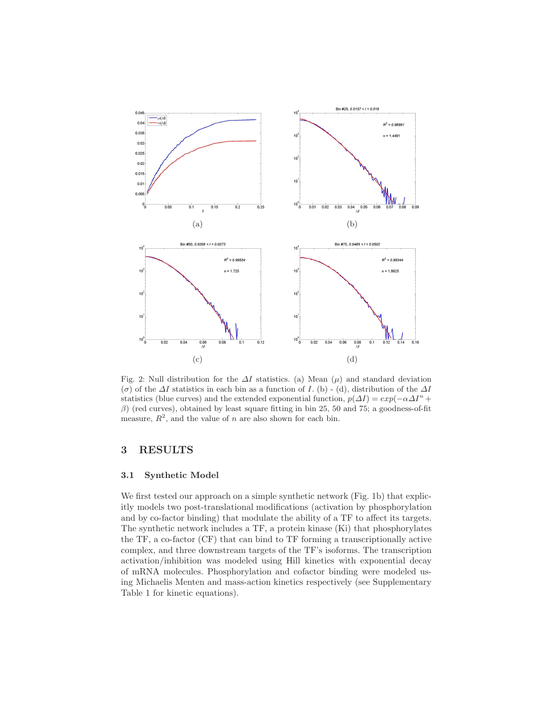

Fig. 2: Null distribution for the  $\Delta I$  statistics. (a) Mean ( $\mu$ ) and standard deviation  $(\sigma)$  of the  $\Delta I$  statistics in each bin as a function of I. (b) - (d), distribution of the  $\Delta I$ statistics (blue curves) and the extended exponential function,  $p(\Delta I) = exp(-\alpha \Delta I^n +$  $\beta$ ) (red curves), obtained by least square fitting in bin 25, 50 and 75; a goodness-of-fit measure,  $R^2$ , and the value of n are also shown for each bin.

# 3 RESULTS

### 3.1 Synthetic Model

We first tested our approach on a simple synthetic network (Fig. 1b) that explicitly models two post-translational modifications (activation by phosphorylation and by co-factor binding) that modulate the ability of a TF to affect its targets. The synthetic network includes a TF, a protein kinase (Ki) that phosphorylates the TF, a co-factor (CF) that can bind to TF forming a transcriptionally active complex, and three downstream targets of the TF's isoforms. The transcription activation/inhibition was modeled using Hill kinetics with exponential decay of mRNA molecules. Phosphorylation and cofactor binding were modeled using Michaelis Menten and mass-action kinetics respectively (see Supplementary Table 1 for kinetic equations).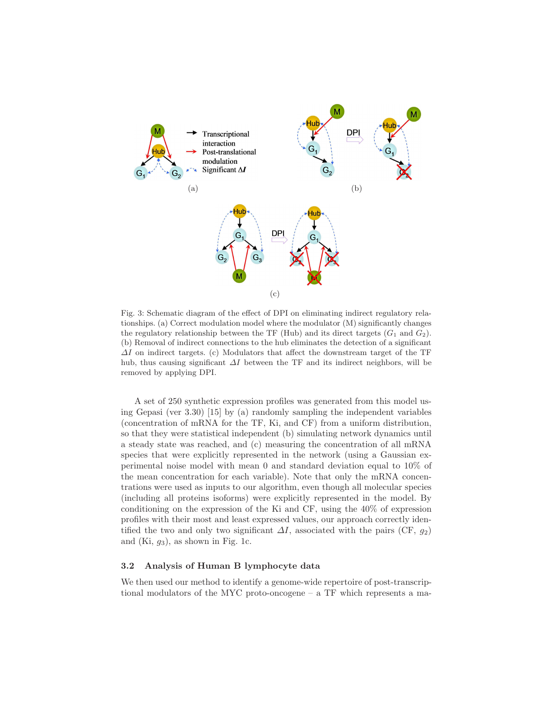

Fig. 3: Schematic diagram of the effect of DPI on eliminating indirect regulatory relationships. (a) Correct modulation model where the modulator (M) significantly changes the regulatory relationship between the TF (Hub) and its direct targets  $(G_1 \text{ and } G_2)$ . (b) Removal of indirect connections to the hub eliminates the detection of a significant  $\Delta I$  on indirect targets. (c) Modulators that affect the downstream target of the TF hub, thus causing significant  $\Delta I$  between the TF and its indirect neighbors, will be removed by applying DPI.

A set of 250 synthetic expression profiles was generated from this model using Gepasi (ver 3.30) [15] by (a) randomly sampling the independent variables (concentration of mRNA for the TF, Ki, and CF) from a uniform distribution, so that they were statistical independent (b) simulating network dynamics until a steady state was reached, and (c) measuring the concentration of all mRNA species that were explicitly represented in the network (using a Gaussian experimental noise model with mean 0 and standard deviation equal to 10% of the mean concentration for each variable). Note that only the mRNA concentrations were used as inputs to our algorithm, even though all molecular species (including all proteins isoforms) were explicitly represented in the model. By conditioning on the expression of the Ki and CF, using the 40% of expression profiles with their most and least expressed values, our approach correctly identified the two and only two significant  $\Delta I$ , associated with the pairs (CF,  $g_2$ ) and  $(Ki, g_3)$ , as shown in Fig. 1c.

### 3.2 Analysis of Human B lymphocyte data

We then used our method to identify a genome-wide repertoire of post-transcriptional modulators of the MYC proto-oncogene – a TF which represents a ma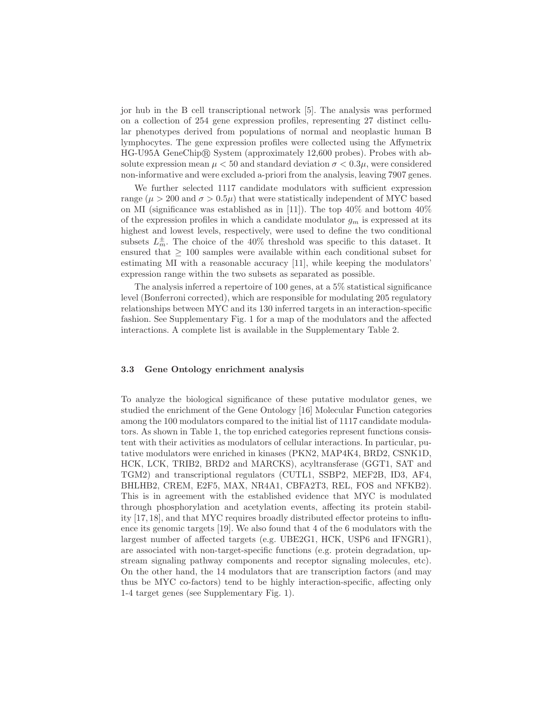jor hub in the B cell transcriptional network [5]. The analysis was performed on a collection of 254 gene expression profiles, representing 27 distinct cellular phenotypes derived from populations of normal and neoplastic human B lymphocytes. The gene expression profiles were collected using the Affymetrix HG-U95A GeneChip® System (approximately 12,600 probes). Probes with absolute expression mean  $\mu < 50$  and standard deviation  $\sigma < 0.3\mu$ , were considered non-informative and were excluded a-priori from the analysis, leaving 7907 genes.

We further selected 1117 candidate modulators with sufficient expression range ( $\mu > 200$  and  $\sigma > 0.5\mu$ ) that were statistically independent of MYC based on MI (significance was established as in [11]). The top  $40\%$  and bottom  $40\%$ of the expression profiles in which a candidate modulator  $g_m$  is expressed at its highest and lowest levels, respectively, were used to define the two conditional subsets  $L_m^{\pm}$ . The choice of the 40% threshold was specific to this dataset. It ensured that  $\geq 100$  samples were available within each conditional subset for estimating MI with a reasonable accuracy [11], while keeping the modulators' expression range within the two subsets as separated as possible.

The analysis inferred a repertoire of 100 genes, at a 5% statistical significance level (Bonferroni corrected), which are responsible for modulating 205 regulatory relationships between MYC and its 130 inferred targets in an interaction-specific fashion. See Supplementary Fig. 1 for a map of the modulators and the affected interactions. A complete list is available in the Supplementary Table 2.

#### 3.3 Gene Ontology enrichment analysis

To analyze the biological significance of these putative modulator genes, we studied the enrichment of the Gene Ontology [16] Molecular Function categories among the 100 modulators compared to the initial list of 1117 candidate modulators. As shown in Table 1, the top enriched categories represent functions consistent with their activities as modulators of cellular interactions. In particular, putative modulators were enriched in kinases (PKN2, MAP4K4, BRD2, CSNK1D, HCK, LCK, TRIB2, BRD2 and MARCKS), acyltransferase (GGT1, SAT and TGM2) and transcriptional regulators (CUTL1, SSBP2, MEF2B, ID3, AF4, BHLHB2, CREM, E2F5, MAX, NR4A1, CBFA2T3, REL, FOS and NFKB2). This is in agreement with the established evidence that MYC is modulated through phosphorylation and acetylation events, affecting its protein stability [17, 18], and that MYC requires broadly distributed effector proteins to influence its genomic targets [19]. We also found that 4 of the 6 modulators with the largest number of affected targets (e.g. UBE2G1, HCK, USP6 and IFNGR1), are associated with non-target-specific functions (e.g. protein degradation, upstream signaling pathway components and receptor signaling molecules, etc). On the other hand, the 14 modulators that are transcription factors (and may thus be MYC co-factors) tend to be highly interaction-specific, affecting only 1-4 target genes (see Supplementary Fig. 1).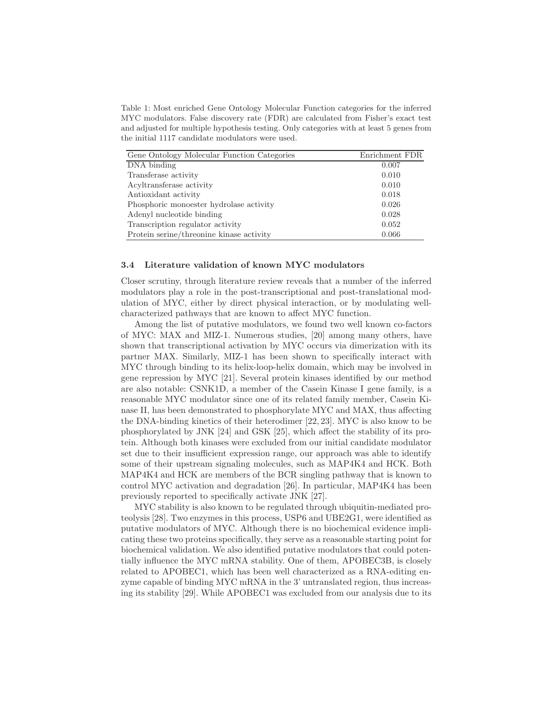Table 1: Most enriched Gene Ontology Molecular Function categories for the inferred MYC modulators. False discovery rate (FDR) are calculated from Fisher's exact test and adjusted for multiple hypothesis testing. Only categories with at least 5 genes from the initial 1117 candidate modulators were used.

| Gene Ontology Molecular Function Categories | Enrichment FDR |
|---------------------------------------------|----------------|
| DNA binding                                 | 0.007          |
| Transferase activity                        | 0.010          |
| Acyltransferase activity                    | 0.010          |
| Antioxidant activity                        | 0.018          |
| Phosphoric monoester hydrolase activity     | 0.026          |
| Adenyl nucleotide binding                   | 0.028          |
| Transcription regulator activity            | 0.052          |
| Protein serine/threonine kinase activity    | 0.066          |

#### 3.4 Literature validation of known MYC modulators

Closer scrutiny, through literature review reveals that a number of the inferred modulators play a role in the post-transcriptional and post-translational modulation of MYC, either by direct physical interaction, or by modulating wellcharacterized pathways that are known to affect MYC function.

Among the list of putative modulators, we found two well known co-factors of MYC: MAX and MIZ-1. Numerous studies, [20] among many others, have shown that transcriptional activation by MYC occurs via dimerization with its partner MAX. Similarly, MIZ-1 has been shown to specifically interact with MYC through binding to its helix-loop-helix domain, which may be involved in gene repression by MYC [21]. Several protein kinases identified by our method are also notable: CSNK1D, a member of the Casein Kinase I gene family, is a reasonable MYC modulator since one of its related family member, Casein Kinase II, has been demonstrated to phosphorylate MYC and MAX, thus affecting the DNA-binding kinetics of their heterodimer [22, 23]. MYC is also know to be phosphorylated by JNK [24] and GSK [25], which affect the stability of its protein. Although both kinases were excluded from our initial candidate modulator set due to their insufficient expression range, our approach was able to identify some of their upstream signaling molecules, such as MAP4K4 and HCK. Both MAP4K4 and HCK are members of the BCR singling pathway that is known to control MYC activation and degradation [26]. In particular, MAP4K4 has been previously reported to specifically activate JNK [27].

MYC stability is also known to be regulated through ubiquitin-mediated proteolysis [28]. Two enzymes in this process, USP6 and UBE2G1, were identified as putative modulators of MYC. Although there is no biochemical evidence implicating these two proteins specifically, they serve as a reasonable starting point for biochemical validation. We also identified putative modulators that could potentially influence the MYC mRNA stability. One of them, APOBEC3B, is closely related to APOBEC1, which has been well characterized as a RNA-editing enzyme capable of binding MYC mRNA in the 3' untranslated region, thus increasing its stability [29]. While APOBEC1 was excluded from our analysis due to its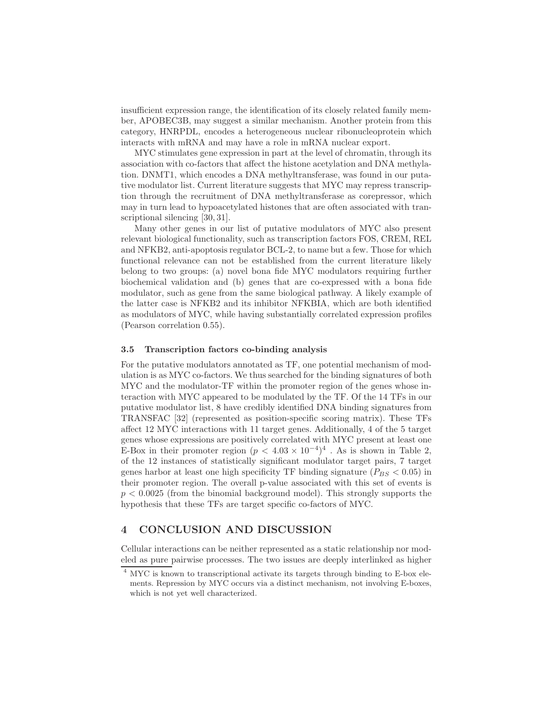insufficient expression range, the identification of its closely related family member, APOBEC3B, may suggest a similar mechanism. Another protein from this category, HNRPDL, encodes a heterogeneous nuclear ribonucleoprotein which interacts with mRNA and may have a role in mRNA nuclear export.

MYC stimulates gene expression in part at the level of chromatin, through its association with co-factors that affect the histone acetylation and DNA methylation. DNMT1, which encodes a DNA methyltransferase, was found in our putative modulator list. Current literature suggests that MYC may repress transcription through the recruitment of DNA methyltransferase as corepressor, which may in turn lead to hypoacetylated histones that are often associated with transcriptional silencing [30, 31].

Many other genes in our list of putative modulators of MYC also present relevant biological functionality, such as transcription factors FOS, CREM, REL and NFKB2, anti-apoptosis regulator BCL-2, to name but a few. Those for which functional relevance can not be established from the current literature likely belong to two groups: (a) novel bona fide MYC modulators requiring further biochemical validation and (b) genes that are co-expressed with a bona fide modulator, such as gene from the same biological pathway. A likely example of the latter case is NFKB2 and its inhibitor NFKBIA, which are both identified as modulators of MYC, while having substantially correlated expression profiles (Pearson correlation 0.55).

#### 3.5 Transcription factors co-binding analysis

For the putative modulators annotated as TF, one potential mechanism of modulation is as MYC co-factors. We thus searched for the binding signatures of both MYC and the modulator-TF within the promoter region of the genes whose interaction with MYC appeared to be modulated by the TF. Of the 14 TFs in our putative modulator list, 8 have credibly identified DNA binding signatures from TRANSFAC [32] (represented as position-specific scoring matrix). These TFs affect 12 MYC interactions with 11 target genes. Additionally, 4 of the 5 target genes whose expressions are positively correlated with MYC present at least one E-Box in their promoter region  $(p < 4.03 \times 10^{-4})^4$ . As is shown in Table 2, of the 12 instances of statistically significant modulator target pairs, 7 target genes harbor at least one high specificity TF binding signature ( $P_{BS} < 0.05$ ) in their promoter region. The overall p-value associated with this set of events is  $p < 0.0025$  (from the binomial background model). This strongly supports the hypothesis that these TFs are target specific co-factors of MYC.

# 4 CONCLUSION AND DISCUSSION

Cellular interactions can be neither represented as a static relationship nor modeled as pure pairwise processes. The two issues are deeply interlinked as higher

 $^4$  MYC is known to transcriptional activate its targets through binding to E-box elements. Repression by MYC occurs via a distinct mechanism, not involving E-boxes, which is not yet well characterized.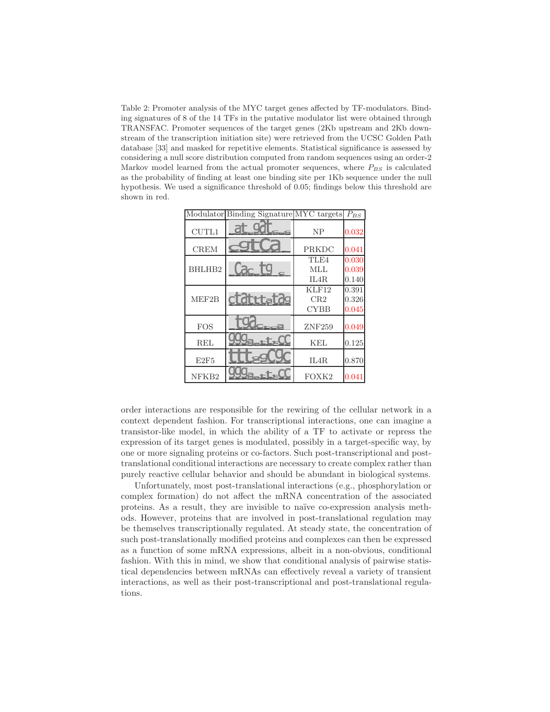Table 2: Promoter analysis of the MYC target genes affected by TF-modulators. Binding signatures of 8 of the 14 TFs in the putative modulator list were obtained through TRANSFAC. Promoter sequences of the target genes (2Kb upstream and 2Kb downstream of the transcription initiation site) were retrieved from the UCSC Golden Path database [33] and masked for repetitive elements. Statistical significance is assessed by considering a null score distribution computed from random sequences using an order-2 Markov model learned from the actual promoter sequences, where  $P_{BS}$  is calculated as the probability of finding at least one binding site per 1Kb sequence under the null hypothesis. We used a significance threshold of 0.05; findings below this threshold are shown in red.

|                    | Modulator Binding Signature MYC targets |                   | $P_{BS}$           |
|--------------------|-----------------------------------------|-------------------|--------------------|
| CUTL1              |                                         | <b>NP</b>         | 0.032              |
| <b>CREM</b>        |                                         | PRKDC             | 0.041              |
|                    |                                         | TLE4              | 0.030              |
| BHLHB <sub>2</sub> | Cac tg                                  | MLL               | 0.039              |
|                    |                                         | IL4R              | 0.140              |
|                    | <u>ctatttatag</u>                       | KLF12             | 0.391              |
| MEF2B              |                                         | CR2               | 0.326              |
|                    |                                         | <b>CYBB</b>       | 0.045              |
| <b>FOS</b>         |                                         | ZNF259            | 0.049              |
| <b>REL</b>         |                                         | <b>KEL</b>        | 0.125              |
| E2F5               |                                         | IL <sub>4</sub> R | 0.870              |
| NFKB2              |                                         | FOXK2             | $\overline{0.041}$ |

order interactions are responsible for the rewiring of the cellular network in a context dependent fashion. For transcriptional interactions, one can imagine a transistor-like model, in which the ability of a TF to activate or repress the expression of its target genes is modulated, possibly in a target-specific way, by one or more signaling proteins or co-factors. Such post-transcriptional and posttranslational conditional interactions are necessary to create complex rather than purely reactive cellular behavior and should be abundant in biological systems.

Unfortunately, most post-translational interactions (e.g., phosphorylation or complex formation) do not affect the mRNA concentration of the associated proteins. As a result, they are invisible to na¨ıve co-expression analysis methods. However, proteins that are involved in post-translational regulation may be themselves transcriptionally regulated. At steady state, the concentration of such post-translationally modified proteins and complexes can then be expressed as a function of some mRNA expressions, albeit in a non-obvious, conditional fashion. With this in mind, we show that conditional analysis of pairwise statistical dependencies between mRNAs can effectively reveal a variety of transient interactions, as well as their post-transcriptional and post-translational regulations.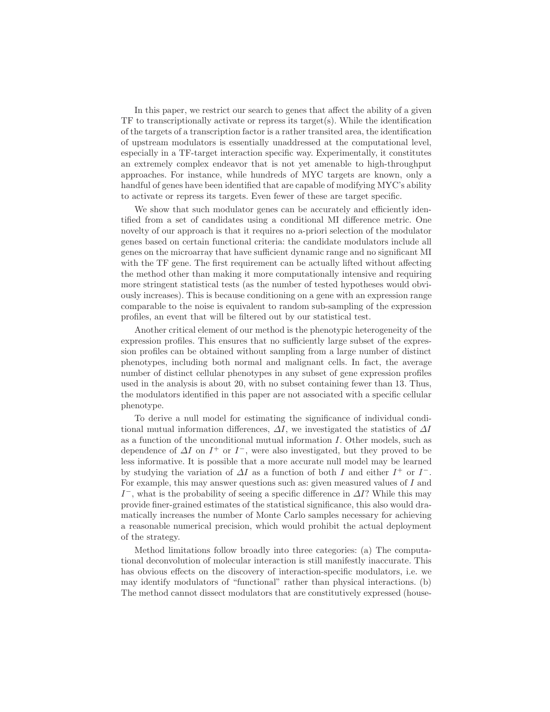In this paper, we restrict our search to genes that affect the ability of a given TF to transcriptionally activate or repress its target(s). While the identification of the targets of a transcription factor is a rather transited area, the identification of upstream modulators is essentially unaddressed at the computational level, especially in a TF-target interaction specific way. Experimentally, it constitutes an extremely complex endeavor that is not yet amenable to high-throughput approaches. For instance, while hundreds of MYC targets are known, only a handful of genes have been identified that are capable of modifying MYC's ability to activate or repress its targets. Even fewer of these are target specific.

We show that such modulator genes can be accurately and efficiently identified from a set of candidates using a conditional MI difference metric. One novelty of our approach is that it requires no a-priori selection of the modulator genes based on certain functional criteria: the candidate modulators include all genes on the microarray that have sufficient dynamic range and no significant MI with the TF gene. The first requirement can be actually lifted without affecting the method other than making it more computationally intensive and requiring more stringent statistical tests (as the number of tested hypotheses would obviously increases). This is because conditioning on a gene with an expression range comparable to the noise is equivalent to random sub-sampling of the expression profiles, an event that will be filtered out by our statistical test.

Another critical element of our method is the phenotypic heterogeneity of the expression profiles. This ensures that no sufficiently large subset of the expression profiles can be obtained without sampling from a large number of distinct phenotypes, including both normal and malignant cells. In fact, the average number of distinct cellular phenotypes in any subset of gene expression profiles used in the analysis is about 20, with no subset containing fewer than 13. Thus, the modulators identified in this paper are not associated with a specific cellular phenotype.

To derive a null model for estimating the significance of individual conditional mutual information differences,  $\Delta I$ , we investigated the statistics of  $\Delta I$ as a function of the unconditional mutual information I. Other models, such as dependence of  $\Delta I$  on  $I^+$  or  $I^-$ , were also investigated, but they proved to be less informative. It is possible that a more accurate null model may be learned by studying the variation of  $\Delta I$  as a function of both I and either  $I^+$  or  $I^-$ . For example, this may answer questions such as: given measured values of I and  $I^-$ , what is the probability of seeing a specific difference in  $\Delta I$ ? While this may provide finer-grained estimates of the statistical significance, this also would dramatically increases the number of Monte Carlo samples necessary for achieving a reasonable numerical precision, which would prohibit the actual deployment of the strategy.

Method limitations follow broadly into three categories: (a) The computational deconvolution of molecular interaction is still manifestly inaccurate. This has obvious effects on the discovery of interaction-specific modulators, i.e. we may identify modulators of "functional" rather than physical interactions. (b) The method cannot dissect modulators that are constitutively expressed (house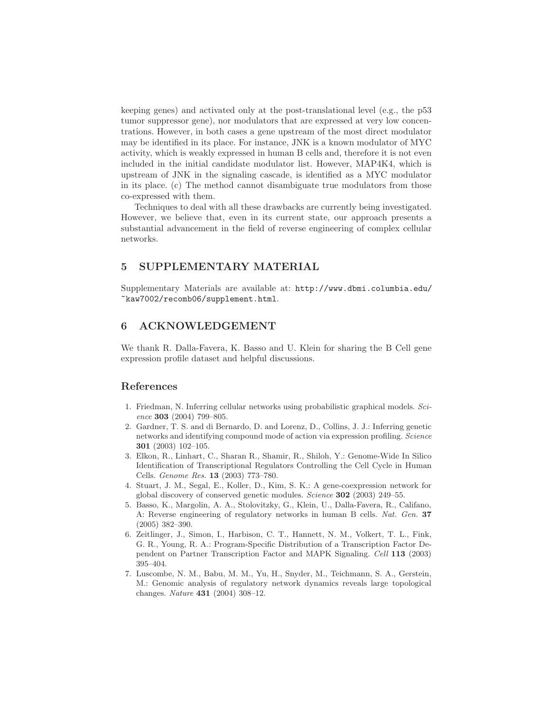keeping genes) and activated only at the post-translational level (e.g., the p53 tumor suppressor gene), nor modulators that are expressed at very low concentrations. However, in both cases a gene upstream of the most direct modulator may be identified in its place. For instance, JNK is a known modulator of MYC activity, which is weakly expressed in human B cells and, therefore it is not even included in the initial candidate modulator list. However, MAP4K4, which is upstream of JNK in the signaling cascade, is identified as a MYC modulator in its place. (c) The method cannot disambiguate true modulators from those co-expressed with them.

Techniques to deal with all these drawbacks are currently being investigated. However, we believe that, even in its current state, our approach presents a substantial advancement in the field of reverse engineering of complex cellular networks.

## 5 SUPPLEMENTARY MATERIAL

Supplementary Materials are available at: http://www.dbmi.columbia.edu/ ~kaw7002/recomb06/supplement.html.

# 6 ACKNOWLEDGEMENT

We thank R. Dalla-Favera, K. Basso and U. Klein for sharing the B Cell gene expression profile dataset and helpful discussions.

## References

- 1. Friedman, N. Inferring cellular networks using probabilistic graphical models. Science 303 (2004) 799–805.
- 2. Gardner, T. S. and di Bernardo, D. and Lorenz, D., Collins, J. J.: Inferring genetic networks and identifying compound mode of action via expression profiling. Science 301 (2003) 102–105.
- 3. Elkon, R., Linhart, C., Sharan R., Shamir, R., Shiloh, Y.: Genome-Wide In Silico Identification of Transcriptional Regulators Controlling the Cell Cycle in Human Cells. Genome Res. 13 (2003) 773–780.
- 4. Stuart, J. M., Segal, E., Koller, D., Kim, S. K.: A gene-coexpression network for global discovery of conserved genetic modules. Science 302 (2003) 249–55.
- 5. Basso, K., Margolin, A. A., Stolovitzky, G., Klein, U., Dalla-Favera, R., Califano, A: Reverse engineering of regulatory networks in human B cells. Nat. Gen. 37 (2005) 382–390.
- 6. Zeitlinger, J., Simon, I., Harbison, C. T., Hannett, N. M., Volkert, T. L., Fink, G. R., Young, R. A.: Program-Specific Distribution of a Transcription Factor Dependent on Partner Transcription Factor and MAPK Signaling. Cell 113 (2003) 395–404.
- 7. Luscombe, N. M., Babu, M. M., Yu, H., Snyder, M., Teichmann, S. A., Gerstein, M.: Genomic analysis of regulatory network dynamics reveals large topological changes. Nature 431 (2004) 308–12.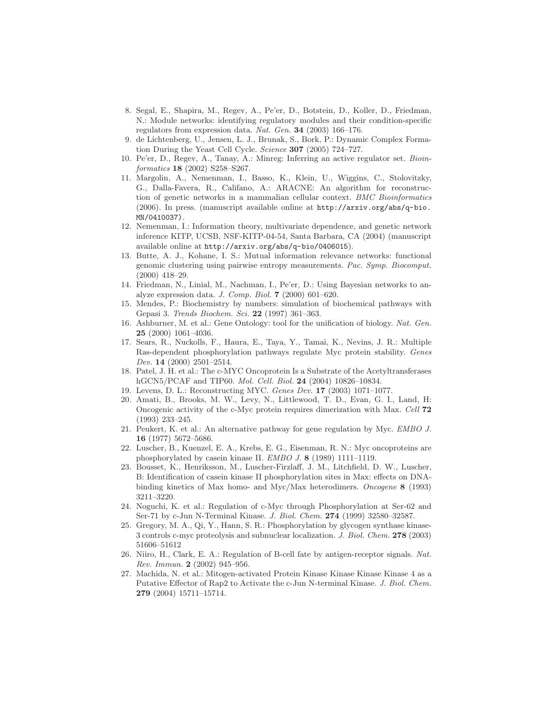- 8. Segal, E., Shapira, M., Regev, A., Pe'er, D., Botstein, D., Koller, D., Friedman, N.: Module networks: identifying regulatory modules and their condition-specific regulators from expression data. Nat. Gen. 34 (2003) 166–176.
- 9. de Lichtenberg, U., Jensen, L. J., Brunak, S., Bork, P.: Dynamic Complex Formation During the Yeast Cell Cycle. Science 307 (2005) 724-727.
- 10. Pe'er, D., Regev, A., Tanay, A.: Minreg: Inferring an active regulator set. Bioinformatics 18 (2002) S258–S267.
- 11. Margolin, A., Nemenman, I., Basso, K., Klein, U., Wiggins, C., Stolovitzky, G., Dalla-Favera, R., Califano, A.: ARACNE: An algorithm for reconstruction of genetic networks in a mammalian cellular context. BMC Bioinformatics (2006). In press. (manuscript available online at http://arxiv.org/abs/q-bio. MN/0410037).
- 12. Nemenman, I.: Information theory, multivariate dependence, and genetic network inference KITP, UCSB, NSF-KITP-04-54, Santa Barbara, CA (2004) (manuscript available online at http://arxiv.org/abs/q-bio/0406015).
- 13. Butte, A. J., Kohane, I. S.: Mutual information relevance networks: functional genomic clustering using pairwise entropy measurements. Pac. Symp. Biocomput. (2000) 418–29.
- 14. Friedman, N., Linial, M., Nachman, I., Pe'er, D.: Using Bayesian networks to analyze expression data. J. Comp. Biol. 7 (2000) 601–620.
- 15. Mendes, P.: Biochemistry by numbers: simulation of biochemical pathways with Gepasi 3. Trends Biochem. Sci. 22 (1997) 361–363.
- 16. Ashburner, M. et al.: Gene Ontology: tool for the unification of biology. Nat. Gen. 25 (2000) 1061–4036.
- 17. Sears, R., Nuckolls, F., Haura, E., Taya, Y., Tamai, K., Nevins, J. R.: Multiple Ras-dependent phosphorylation pathways regulate Myc protein stability. Genes Dev. 14 (2000) 2501–2514.
- 18. Patel, J. H. et al.: The c-MYC Oncoprotein Is a Substrate of the Acetyltransferases hGCN5/PCAF and TIP60. Mol. Cell. Biol. 24 (2004) 10826–10834.
- 19. Levens, D. L.: Reconstructing MYC. Genes Dev. 17 (2003) 1071–1077.
- 20. Amati, B., Brooks, M. W., Levy, N., Littlewood, T. D., Evan, G. I., Land, H: Oncogenic activity of the c-Myc protein requires dimerization with Max. Cell 72 (1993) 233–245.
- 21. Peukert, K. et al.: An alternative pathway for gene regulation by Myc. EMBO J. 16 (1977) 5672–5686.
- 22. Luscher, B., Kuenzel, E. A., Krebs, E. G., Eisenman, R. N.: Myc oncoproteins are phosphorylated by casein kinase II. EMBO J. 8 (1989) 1111–1119.
- 23. Bousset, K., Henriksson, M., Luscher-Firzlaff, J. M., Litchfield, D. W., Luscher, B: Identification of casein kinase II phosphorylation sites in Max: effects on DNAbinding kinetics of Max homo- and Myc/Max heterodimers. Oncogene 8 (1993) 3211–3220.
- 24. Noguchi, K. et al.: Regulation of c-Myc through Phosphorylation at Ser-62 and Ser-71 by c-Jun N-Terminal Kinase. J. Biol. Chem. 274 (1999) 32580–32587.
- 25. Gregory, M. A., Qi, Y., Hann, S. R.: Phosphorylation by glycogen synthase kinase-3 controls c-myc proteolysis and subnuclear localization. J. Biol. Chem. 278 (2003) 51606–51612
- 26. Niiro, H., Clark, E. A.: Regulation of B-cell fate by antigen-receptor signals. Nat. Rev. Immun. 2 (2002) 945–956.
- 27. Machida, N. et al.: Mitogen-activated Protein Kinase Kinase Kinase Kinase 4 as a Putative Effector of Rap2 to Activate the c-Jun N-terminal Kinase. J. Biol. Chem. 279 (2004) 15711–15714.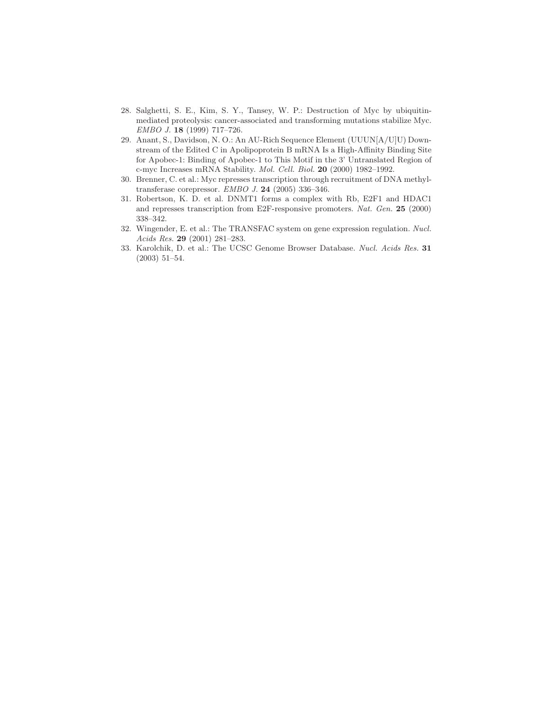- 28. Salghetti, S. E., Kim, S. Y., Tansey, W. P.: Destruction of Myc by ubiquitinmediated proteolysis: cancer-associated and transforming mutations stabilize Myc. EMBO J. 18 (1999) 717–726.
- 29. Anant, S., Davidson, N. O.: An AU-Rich Sequence Element (UUUN[A/U]U) Downstream of the Edited C in Apolipoprotein B mRNA Is a High-Affinity Binding Site for Apobec-1: Binding of Apobec-1 to This Motif in the 3' Untranslated Region of c-myc Increases mRNA Stability. Mol. Cell. Biol. 20 (2000) 1982–1992.
- 30. Brenner, C. et al.: Myc represses transcription through recruitment of DNA methyltransferase corepressor. EMBO J. 24 (2005) 336–346.
- 31. Robertson, K. D. et al. DNMT1 forms a complex with Rb, E2F1 and HDAC1 and represses transcription from E2F-responsive promoters. Nat. Gen. 25 (2000) 338–342.
- 32. Wingender, E. et al.: The TRANSFAC system on gene expression regulation. Nucl. Acids Res. 29 (2001) 281–283.
- 33. Karolchik, D. et al.: The UCSC Genome Browser Database. Nucl. Acids Res. 31 (2003) 51–54.